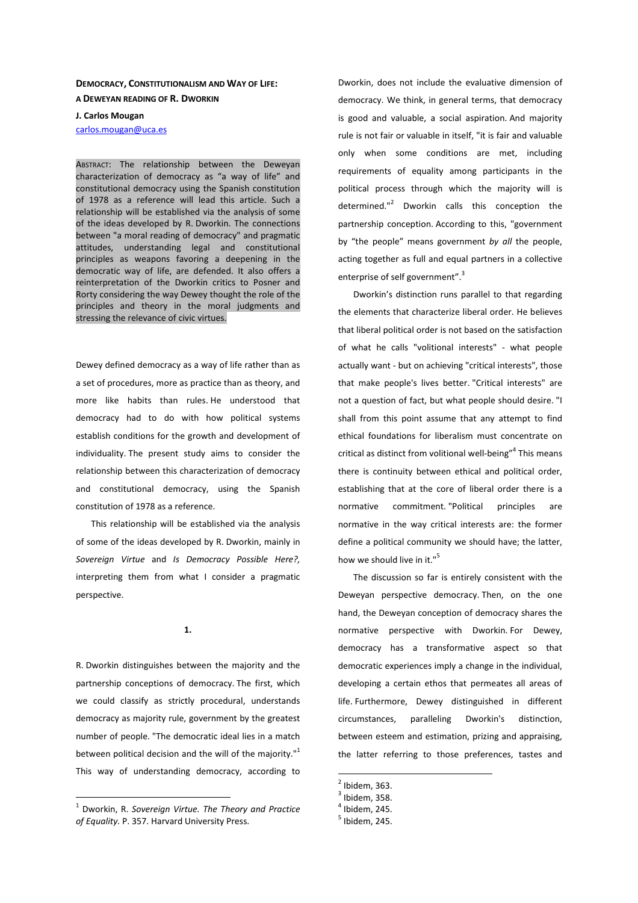## **DEMOCRACY, CONSTITUTIONALISM AND WAY OF LIFE: A DEWEYAN READING OF R. DWORKIN**

## **J. Carlos Mougan**

carlos.mougan@uca.es

ABSTRACT: The relationship between the Deweyan characterization of democracy as "a way of life" and constitutional democracy using the Spanish constitution of 1978 as a reference will lead this article. Such a relationship will be established via the analysis of some of the ideas developed by R. Dworkin. The connections between "a moral reading of democracy" and pragmatic attitudes, understanding legal and constitutional principles as weapons favoring a deepening in the democratic way of life, are defended. It also offers a reinterpretation of the Dworkin critics to Posner and Rorty considering the way Dewey thought the role of the principles and theory in the moral judgments and stressing the relevance of civic virtues.

Dewey defined democracy as a way of life rather than as a set of procedures, more as practice than as theory, and more like habits than rules. He understood that democracy had to do with how political systems establish conditions for the growth and development of individuality. The present study aims to consider the relationship between this characterization of democracy and constitutional democracy, using the Spanish constitution of 1978 as a reference.

This relationship will be established via the analysis of some of the ideas developed by R. Dworkin, mainly in *Sovereign Virtue* and *Is Democracy Possible Here?,* interpreting them from what I consider a pragmatic perspective.

## **1.**

R. Dworkin distinguishes between the majority and the partnership conceptions of democracy. The first, which we could classify as strictly procedural, understands democracy as majority rule, government by the greatest number of people. "The democratic ideal lies in a match between political decision and the will of the majority."<sup>1</sup> This way of understanding democracy, according to Dworkin, does not include the evaluative dimension of democracy. We think, in general terms, that democracy is good and valuable, a social aspiration. And majority rule is not fair or valuable in itself, "it is fair and valuable only when some conditions are met, including requirements of equality among participants in the political process through which the majority will is determined."<sup>2</sup> Dworkin calls this conception the partnership conception. According to this, "government by "the people" means government *by all* the people, acting together as full and equal partners in a collective enterprise of self government".<sup>3</sup>

Dworkin's distinction runs parallel to that regarding the elements that characterize liberal order. He believes that liberal political order is not based on the satisfaction of what he calls "volitional interests" - what people actually want - but on achieving "critical interests", those that make people's lives better. "Critical interests" are not a question of fact, but what people should desire. "I shall from this point assume that any attempt to find ethical foundations for liberalism must concentrate on critical as distinct from volitional well-being"<sup>4</sup> This means there is continuity between ethical and political order, establishing that at the core of liberal order there is a normative commitment. "Political principles are normative in the way critical interests are: the former define a political community we should have; the latter, how we should live in it."<sup>5</sup>

The discussion so far is entirely consistent with the Deweyan perspective democracy. Then, on the one hand, the Deweyan conception of democracy shares the normative perspective with Dworkin. For Dewey, democracy has a transformative aspect so that democratic experiences imply a change in the individual, developing a certain ethos that permeates all areas of life. Furthermore, Dewey distinguished in different circumstances, paralleling Dworkin's distinction, between esteem and estimation, prizing and appraising, the latter referring to those preferences, tastes and

 1 Dworkin, R. *Sovereign Virtue. The Theory and Practice of Equality.* P. 357. Harvard University Press.

 $<sup>2</sup>$  Ibidem, 363.</sup>

 $3$  Ibidem, 358.

 $<sup>4</sup>$  Ibidem, 245.</sup>

 $<sup>5</sup>$  Ibidem, 245.</sup>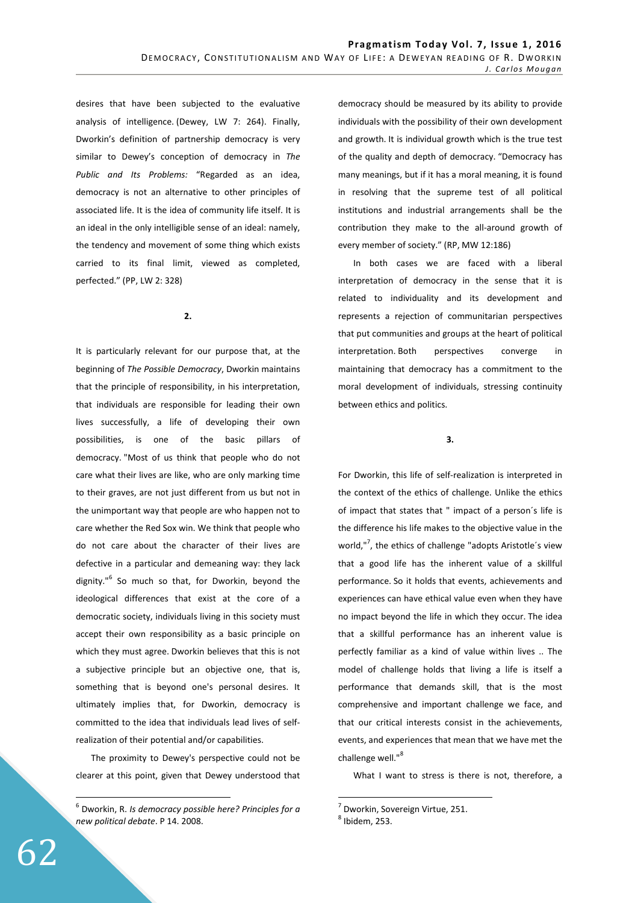desires that have been subjected to the evaluative analysis of intelligence. (Dewey, LW 7: 264). Finally, Dworkin's definition of partnership democracy is very similar to Dewey's conception of democracy in *The Public and Its Problems:* "Regarded as an idea, democracy is not an alternative to other principles of associated life. It is the idea of community life itself. It is an ideal in the only intelligible sense of an ideal: namely, the tendency and movement of some thing which exists carried to its final limit, viewed as completed, perfected." (PP, LW 2: 328)

**2.** 

It is particularly relevant for our purpose that, at the beginning of *The Possible Democracy*, Dworkin maintains that the principle of responsibility, in his interpretation, that individuals are responsible for leading their own lives successfully, a life of developing their own possibilities, is one of the basic pillars of democracy. "Most of us think that people who do not care what their lives are like, who are only marking time to their graves, are not just different from us but not in the unimportant way that people are who happen not to care whether the Red Sox win. We think that people who do not care about the character of their lives are defective in a particular and demeaning way: they lack dignity."<sup>6</sup> So much so that, for Dworkin, beyond the ideological differences that exist at the core of a democratic society, individuals living in this society must accept their own responsibility as a basic principle on which they must agree. Dworkin believes that this is not a subjective principle but an objective one, that is, something that is beyond one's personal desires. It ultimately implies that, for Dworkin, democracy is committed to the idea that individuals lead lives of selfrealization of their potential and/or capabilities.

The proximity to Dewey's perspective could not be clearer at this point, given that Dewey understood that

 6 Dworkin, R. *Is democracy possible here? Principles for a new political debate*. P 14. 2008.

democracy should be measured by its ability to provide individuals with the possibility of their own development and growth. It is individual growth which is the true test of the quality and depth of democracy. "Democracy has many meanings, but if it has a moral meaning, it is found in resolving that the supreme test of all political institutions and industrial arrangements shall be the contribution they make to the all-around growth of every member of society." (RP, MW 12:186)

In both cases we are faced with a liberal interpretation of democracy in the sense that it is related to individuality and its development and represents a rejection of communitarian perspectives that put communities and groups at the heart of political interpretation. Both perspectives converge in maintaining that democracy has a commitment to the moral development of individuals, stressing continuity between ethics and politics.

**3.** 

For Dworkin, this life of self-realization is interpreted in the context of the ethics of challenge. Unlike the ethics of impact that states that " impact of a person´s life is the difference his life makes to the objective value in the world,"<sup>7</sup>, the ethics of challenge "adopts Aristotle's view that a good life has the inherent value of a skillful performance. So it holds that events, achievements and experiences can have ethical value even when they have no impact beyond the life in which they occur. The idea that a skillful performance has an inherent value is perfectly familiar as a kind of value within lives .. The model of challenge holds that living a life is itself a performance that demands skill, that is the most comprehensive and important challenge we face, and that our critical interests consist in the achievements, events, and experiences that mean that we have met the challenge well."<sup>8</sup>

What I want to stress is there is not, therefore, a

<sup>&</sup>lt;sup>7</sup> Dworkin, Sovereign Virtue, 251.

 $<sup>8</sup>$  Ibidem, 253.</sup>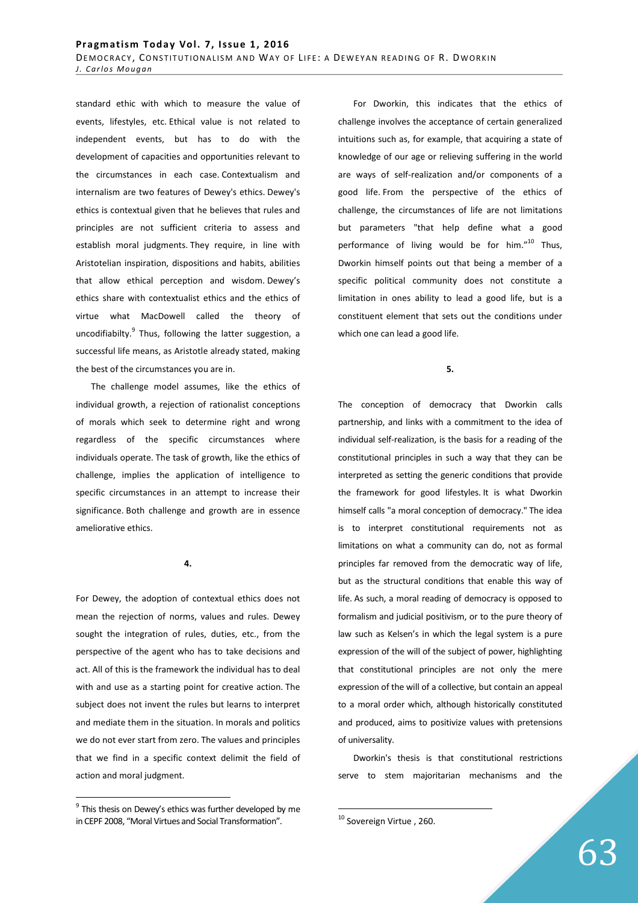standard ethic with which to measure the value of events, lifestyles, etc. Ethical value is not related to independent events, but has to do with the development of capacities and opportunities relevant to the circumstances in each case. Contextualism and internalism are two features of Dewey's ethics. Dewey's ethics is contextual given that he believes that rules and principles are not sufficient criteria to assess and establish moral judgments. They require, in line with Aristotelian inspiration, dispositions and habits, abilities that allow ethical perception and wisdom. Dewey's ethics share with contextualist ethics and the ethics of virtue what MacDowell called the theory of uncodifiabilty.<sup>9</sup> Thus, following the latter suggestion, a successful life means, as Aristotle already stated, making the best of the circumstances you are in.

The challenge model assumes, like the ethics of individual growth, a rejection of rationalist conceptions of morals which seek to determine right and wrong regardless of the specific circumstances where individuals operate. The task of growth, like the ethics of challenge, implies the application of intelligence to specific circumstances in an attempt to increase their significance. Both challenge and growth are in essence ameliorative ethics.

**4.** 

For Dewey, the adoption of contextual ethics does not mean the rejection of norms, values and rules. Dewey sought the integration of rules, duties, etc., from the perspective of the agent who has to take decisions and act. All of this is the framework the individual has to deal with and use as a starting point for creative action. The subject does not invent the rules but learns to interpret and mediate them in the situation. In morals and politics we do not ever start from zero. The values and principles that we find in a specific context delimit the field of action and moral judgment.

 $9$  This thesis on Dewey's ethics was further developed by me in CEPF 2008, "Moral Virtues and Social Transformation".

 $\overline{a}$ 

For Dworkin, this indicates that the ethics of challenge involves the acceptance of certain generalized intuitions such as, for example, that acquiring a state of knowledge of our age or relieving suffering in the world are ways of self-realization and/or components of a good life. From the perspective of the ethics of challenge, the circumstances of life are not limitations but parameters "that help define what a good performance of living would be for him. $"^{10}$  Thus, Dworkin himself points out that being a member of a specific political community does not constitute a limitation in ones ability to lead a good life, but is a constituent element that sets out the conditions under which one can lead a good life.

**5.** 

The conception of democracy that Dworkin calls partnership, and links with a commitment to the idea of individual self-realization, is the basis for a reading of the constitutional principles in such a way that they can be interpreted as setting the generic conditions that provide the framework for good lifestyles. It is what Dworkin himself calls "a moral conception of democracy." The idea is to interpret constitutional requirements not as limitations on what a community can do, not as formal principles far removed from the democratic way of life, but as the structural conditions that enable this way of life. As such, a moral reading of democracy is opposed to formalism and judicial positivism, or to the pure theory of law such as Kelsen's in which the legal system is a pure expression of the will of the subject of power, highlighting that constitutional principles are not only the mere expression of the will of a collective, but contain an appeal to a moral order which, although historically constituted and produced, aims to positivize values with pretensions of universality.

Dworkin's thesis is that constitutional restrictions serve to stem majoritarian mechanisms and the

<sup>&</sup>lt;sup>10</sup> Sovereign Virtue, 260.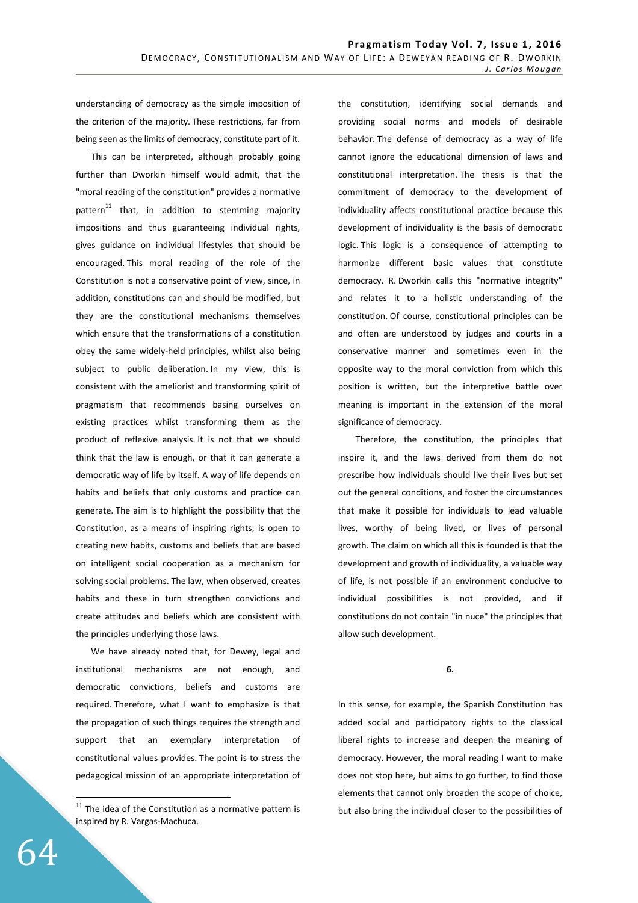understanding of democracy as the simple imposition of the criterion of the majority. These restrictions, far from being seen as the limits of democracy, constitute part of it.

This can be interpreted, although probably going further than Dworkin himself would admit, that the "moral reading of the constitution" provides a normative pattern $^{11}$  that, in addition to stemming majority impositions and thus guaranteeing individual rights, gives guidance on individual lifestyles that should be encouraged. This moral reading of the role of the Constitution is not a conservative point of view, since, in addition, constitutions can and should be modified, but they are the constitutional mechanisms themselves which ensure that the transformations of a constitution obey the same widely-held principles, whilst also being subject to public deliberation. In my view, this is consistent with the ameliorist and transforming spirit of pragmatism that recommends basing ourselves on existing practices whilst transforming them as the product of reflexive analysis. It is not that we should think that the law is enough, or that it can generate a democratic way of life by itself. A way of life depends on habits and beliefs that only customs and practice can generate. The aim is to highlight the possibility that the Constitution, as a means of inspiring rights, is open to creating new habits, customs and beliefs that are based on intelligent social cooperation as a mechanism for solving social problems. The law, when observed, creates habits and these in turn strengthen convictions and create attitudes and beliefs which are consistent with the principles underlying those laws.

We have already noted that, for Dewey, legal and institutional mechanisms are not enough, and democratic convictions, beliefs and customs are required. Therefore, what I want to emphasize is that the propagation of such things requires the strength and support that an exemplary interpretation of constitutional values provides. The point is to stress the pedagogical mission of an appropriate interpretation of the constitution, identifying social demands and providing social norms and models of desirable behavior. The defense of democracy as a way of life cannot ignore the educational dimension of laws and constitutional interpretation. The thesis is that the commitment of democracy to the development of individuality affects constitutional practice because this development of individuality is the basis of democratic logic. This logic is a consequence of attempting to harmonize different basic values that constitute democracy. R. Dworkin calls this "normative integrity" and relates it to a holistic understanding of the constitution. Of course, constitutional principles can be and often are understood by judges and courts in a conservative manner and sometimes even in the opposite way to the moral conviction from which this position is written, but the interpretive battle over meaning is important in the extension of the moral significance of democracy.

 Therefore, the constitution, the principles that inspire it, and the laws derived from them do not prescribe how individuals should live their lives but set out the general conditions, and foster the circumstances that make it possible for individuals to lead valuable lives, worthy of being lived, or lives of personal growth. The claim on which all this is founded is that the development and growth of individuality, a valuable way of life, is not possible if an environment conducive to individual possibilities is not provided, and if constitutions do not contain "in nuce" the principles that allow such development.

## **6.**

In this sense, for example, the Spanish Constitution has added social and participatory rights to the classical liberal rights to increase and deepen the meaning of democracy. However, the moral reading I want to make does not stop here, but aims to go further, to find those elements that cannot only broaden the scope of choice, but also bring the individual closer to the possibilities of

64

 $11$  The idea of the Constitution as a normative pattern is inspired by R. Vargas-Machuca.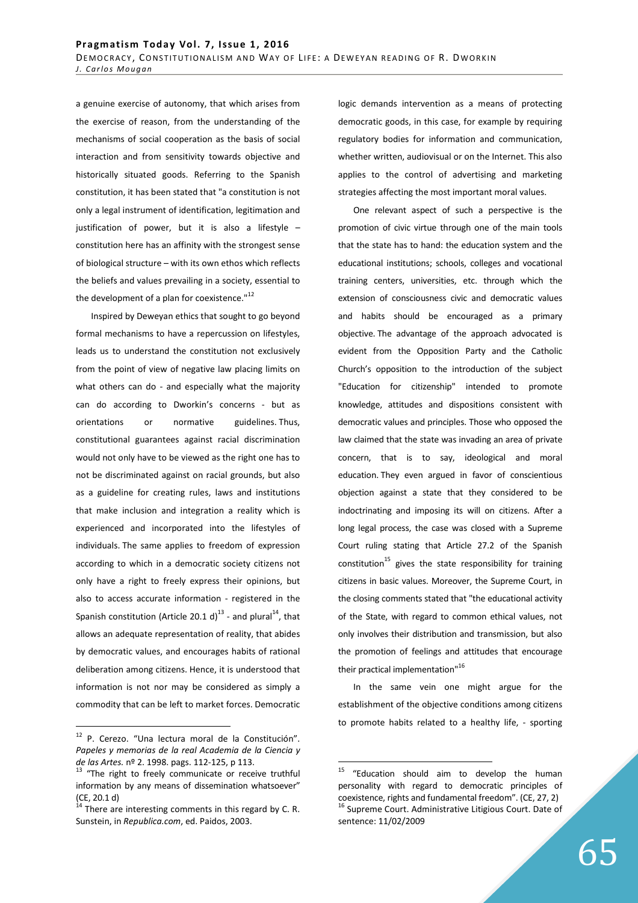a genuine exercise of autonomy, that which arises from the exercise of reason, from the understanding of the mechanisms of social cooperation as the basis of social interaction and from sensitivity towards objective and historically situated goods. Referring to the Spanish constitution, it has been stated that "a constitution is not only a legal instrument of identification, legitimation and justification of power, but it is also a lifestyle – constitution here has an affinity with the strongest sense of biological structure – with its own ethos which reflects the beliefs and values prevailing in a society, essential to the development of a plan for coexistence." $^{12}$ 

Inspired by Deweyan ethics that sought to go beyond formal mechanisms to have a repercussion on lifestyles, leads us to understand the constitution not exclusively from the point of view of negative law placing limits on what others can do - and especially what the majority can do according to Dworkin's concerns - but as orientations or normative guidelines. Thus, constitutional guarantees against racial discrimination would not only have to be viewed as the right one has to not be discriminated against on racial grounds, but also as a guideline for creating rules, laws and institutions that make inclusion and integration a reality which is experienced and incorporated into the lifestyles of individuals. The same applies to freedom of expression according to which in a democratic society citizens not only have a right to freely express their opinions, but also to access accurate information - registered in the Spanish constitution (Article 20.1 d)<sup>13</sup> - and plural<sup>14</sup>, that allows an adequate representation of reality, that abides by democratic values, and encourages habits of rational deliberation among citizens. Hence, it is understood that information is not nor may be considered as simply a commodity that can be left to market forces. Democratic

 $\overline{a}$ 

logic demands intervention as a means of protecting democratic goods, in this case, for example by requiring regulatory bodies for information and communication, whether written, audiovisual or on the Internet. This also applies to the control of advertising and marketing strategies affecting the most important moral values.

One relevant aspect of such a perspective is the promotion of civic virtue through one of the main tools that the state has to hand: the education system and the educational institutions; schools, colleges and vocational training centers, universities, etc. through which the extension of consciousness civic and democratic values and habits should be encouraged as a primary objective. The advantage of the approach advocated is evident from the Opposition Party and the Catholic Church's opposition to the introduction of the subject "Education for citizenship" intended to promote knowledge, attitudes and dispositions consistent with democratic values and principles. Those who opposed the law claimed that the state was invading an area of private concern, that is to say, ideological and moral education. They even argued in favor of conscientious objection against a state that they considered to be indoctrinating and imposing its will on citizens. After a long legal process, the case was closed with a Supreme Court ruling stating that Article 27.2 of the Spanish constitution<sup>15</sup> gives the state responsibility for training citizens in basic values. Moreover, the Supreme Court, in the closing comments stated that "the educational activity of the State, with regard to common ethical values, not only involves their distribution and transmission, but also the promotion of feelings and attitudes that encourage their practical implementation"<sup>16</sup>

In the same vein one might argue for the establishment of the objective conditions among citizens to promote habits related to a healthy life, - sporting

<sup>&</sup>lt;sup>12</sup> P. Cerezo. "Una lectura moral de la Constitución". *Papeles y memorias de la real Academia de la Ciencia y de las Artes.* nº 2. 1998. pags. 112-125, p 113.

<sup>&</sup>lt;sup>13</sup> "The right to freely communicate or receive truthful information by any means of dissemination whatsoever" (CE, 20.1 d)

 $14$  There are interesting comments in this regard by C. R. Sunstein, in *Republica.com*, ed. Paidos, 2003.

 $15$  "Education should aim to develop the human personality with regard to democratic principles of coexistence, rights and fundamental freedom". (CE, 27, 2) <sup>16</sup> Supreme Court. Administrative Litigious Court. Date of sentence: 11/02/2009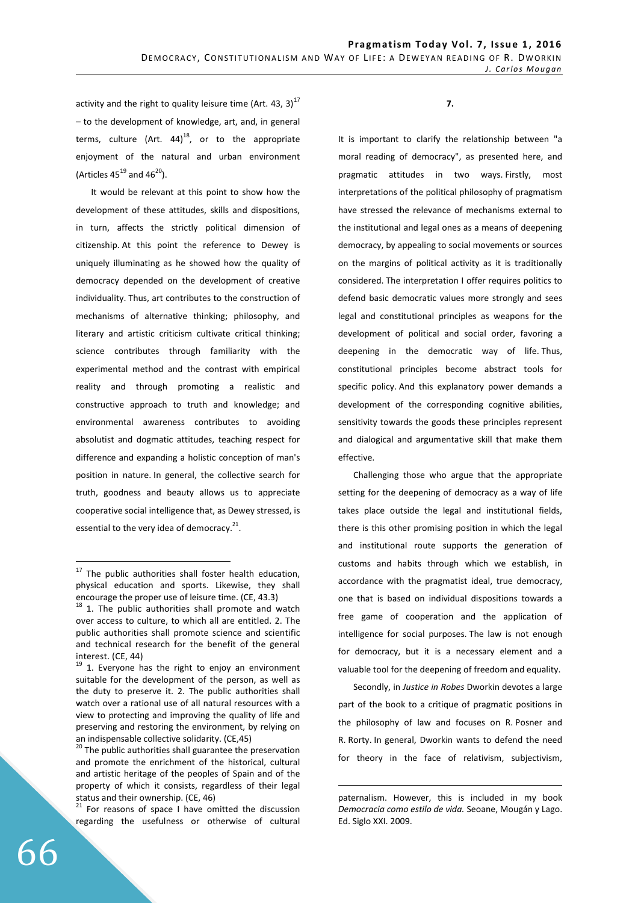activity and the right to quality leisure time (Art. 43, 3)<sup>17</sup> – to the development of knowledge, art, and, in general terms, culture  $(Art. 44)^{18}$ , or to the appropriate enjoyment of the natural and urban environment (Articles  $45^{19}$  and  $46^{20}$ ).

It would be relevant at this point to show how the development of these attitudes, skills and dispositions, in turn, affects the strictly political dimension of citizenship. At this point the reference to Dewey is uniquely illuminating as he showed how the quality of democracy depended on the development of creative individuality. Thus, art contributes to the construction of mechanisms of alternative thinking; philosophy, and literary and artistic criticism cultivate critical thinking; science contributes through familiarity with the experimental method and the contrast with empirical reality and through promoting a realistic and constructive approach to truth and knowledge; and environmental awareness contributes to avoiding absolutist and dogmatic attitudes, teaching respect for difference and expanding a holistic conception of man's position in nature. In general, the collective search for truth, goodness and beauty allows us to appreciate cooperative social intelligence that, as Dewey stressed, is essential to the very idea of democracy. $21$ .

**7.** 

It is important to clarify the relationship between "a moral reading of democracy", as presented here, and pragmatic attitudes in two ways. Firstly, most interpretations of the political philosophy of pragmatism have stressed the relevance of mechanisms external to the institutional and legal ones as a means of deepening democracy, by appealing to social movements or sources on the margins of political activity as it is traditionally considered. The interpretation I offer requires politics to defend basic democratic values more strongly and sees legal and constitutional principles as weapons for the development of political and social order, favoring a deepening in the democratic way of life. Thus, constitutional principles become abstract tools for specific policy. And this explanatory power demands a development of the corresponding cognitive abilities, sensitivity towards the goods these principles represent and dialogical and argumentative skill that make them effective.

Challenging those who argue that the appropriate setting for the deepening of democracy as a way of life takes place outside the legal and institutional fields, there is this other promising position in which the legal and institutional route supports the generation of customs and habits through which we establish, in accordance with the pragmatist ideal, true democracy, one that is based on individual dispositions towards a free game of cooperation and the application of intelligence for social purposes. The law is not enough for democracy, but it is a necessary element and a valuable tool for the deepening of freedom and equality.

Secondly, in *Justice in Robes* Dworkin devotes a large part of the book to a critique of pragmatic positions in the philosophy of law and focuses on R. Posner and R. Rorty. In general, Dworkin wants to defend the need for theory in the face of relativism, subjectivism,

 $\overline{a}$ 

 $17$  The public authorities shall foster health education, physical education and sports. Likewise, they shall encourage the proper use of leisure time. (CE, 43.3)

 $18$  1. The public authorities shall promote and watch over access to culture, to which all are entitled. 2. The public authorities shall promote science and scientific and technical research for the benefit of the general interest. (CE, 44)

 $19$  1. Everyone has the right to enjoy an environment suitable for the development of the person, as well as the duty to preserve it. 2. The public authorities shall watch over a rational use of all natural resources with a view to protecting and improving the quality of life and preserving and restoring the environment, by relying on an indispensable collective solidarity. (CE,45)

<sup>&</sup>lt;sup>20</sup> The public authorities shall guarantee the preservation and promote the enrichment of the historical, cultural and artistic heritage of the peoples of Spain and of the property of which it consists, regardless of their legal status and their ownership. (CE, 46)

 $21$  For reasons of space I have omitted the discussion regarding the usefulness or otherwise of cultural

paternalism. However, this is included in my book *Democracia como estilo de vida.* Seoane, Mougán y Lago. Ed. Siglo XXI. 2009.